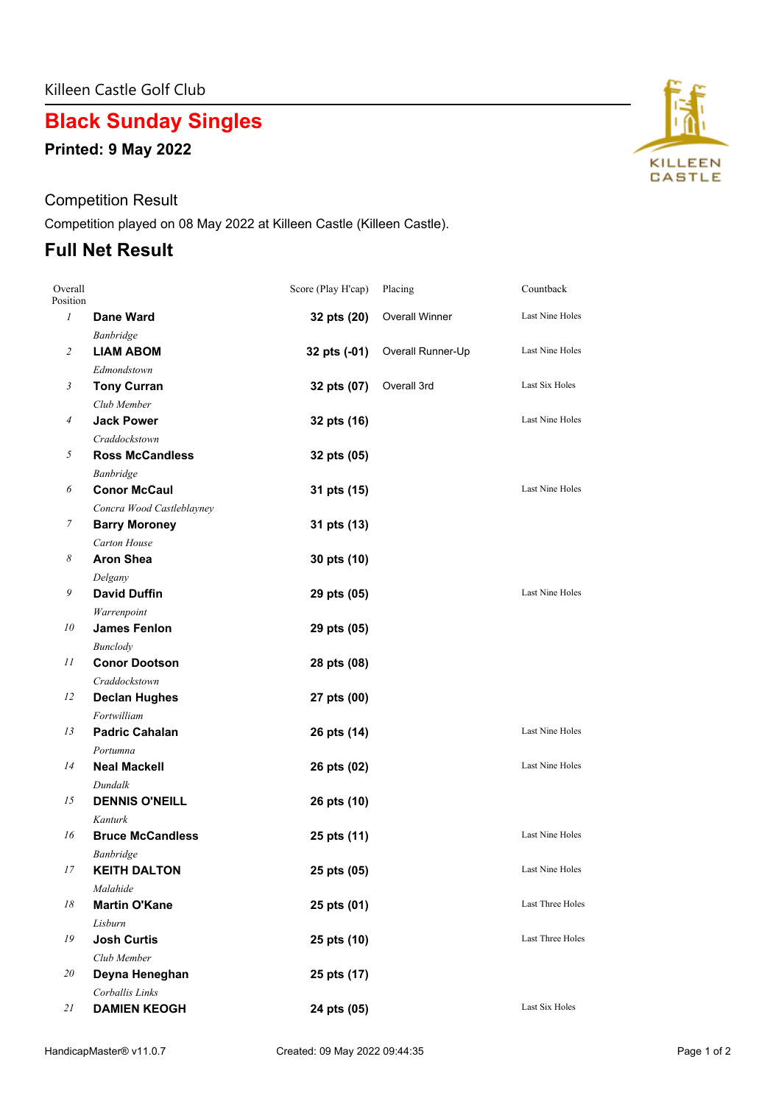# **Black Sunday Singles**

**Printed: 9 May 2022**

#### Competition Result

Competition played on 08 May 2022 at Killeen Castle (Killeen Castle).

### **Full Net Result**

| Overall<br>Position |                           | Score (Play H'cap) | Placing               | Countback        |
|---------------------|---------------------------|--------------------|-----------------------|------------------|
| $\mathfrak{1}$      | <b>Dane Ward</b>          | 32 pts (20)        | <b>Overall Winner</b> | Last Nine Holes  |
|                     | Banbridge                 |                    |                       |                  |
| $\overline{c}$      | <b>LIAM ABOM</b>          | 32 pts (-01)       | Overall Runner-Up     | Last Nine Holes  |
|                     | Edmondstown               |                    |                       |                  |
| 3                   | <b>Tony Curran</b>        | 32 pts (07)        | Overall 3rd           | Last Six Holes   |
|                     | Club Member               |                    |                       |                  |
| $\overline{4}$      | <b>Jack Power</b>         | 32 pts (16)        |                       | Last Nine Holes  |
|                     | Craddockstown             |                    |                       |                  |
| 5                   | <b>Ross McCandless</b>    | 32 pts (05)        |                       |                  |
|                     | Banbridge                 |                    |                       |                  |
| 6                   | <b>Conor McCaul</b>       | 31 pts (15)        |                       | Last Nine Holes  |
|                     | Concra Wood Castleblayney |                    |                       |                  |
| 7                   | <b>Barry Moroney</b>      | 31 pts (13)        |                       |                  |
|                     | Carton House              |                    |                       |                  |
| 8                   | <b>Aron Shea</b>          | 30 pts (10)        |                       |                  |
|                     | Delgany                   |                    |                       |                  |
| 9                   | <b>David Duffin</b>       | 29 pts (05)        |                       | Last Nine Holes  |
|                     | Warrenpoint               |                    |                       |                  |
| 10                  | <b>James Fenlon</b>       | 29 pts (05)        |                       |                  |
|                     | <b>Bunclody</b>           |                    |                       |                  |
| 11                  | <b>Conor Dootson</b>      | 28 pts (08)        |                       |                  |
|                     | Craddockstown             |                    |                       |                  |
| 12                  | <b>Declan Hughes</b>      | 27 pts (00)        |                       |                  |
|                     | Fortwilliam               |                    |                       |                  |
| 13                  | <b>Padric Cahalan</b>     | 26 pts (14)        |                       | Last Nine Holes  |
|                     | Portumna                  |                    |                       |                  |
| 14                  | <b>Neal Mackell</b>       | 26 pts (02)        |                       | Last Nine Holes  |
|                     | Dundalk                   |                    |                       |                  |
| 15                  | <b>DENNIS O'NEILL</b>     | 26 pts (10)        |                       |                  |
|                     | Kanturk                   |                    |                       |                  |
| 16                  | <b>Bruce McCandless</b>   | 25 pts (11)        |                       | Last Nine Holes  |
|                     | <b>Banbridge</b>          |                    |                       |                  |
| 17                  | <b>KEITH DALTON</b>       | 25 pts (05)        |                       | Last Nine Holes  |
|                     | Malahide                  |                    |                       |                  |
| 18                  | <b>Martin O'Kane</b>      | 25 pts (01)        |                       | Last Three Holes |
|                     | Lisburn                   |                    |                       |                  |
| 19                  | <b>Josh Curtis</b>        | 25 pts (10)        |                       | Last Three Holes |
|                     | Club Member               |                    |                       |                  |
| 20                  | Deyna Heneghan            | 25 pts (17)        |                       |                  |
|                     | Corballis Links           |                    |                       |                  |
| 21                  | <b>DAMIEN KEOGH</b>       | 24 pts (05)        |                       | Last Six Holes   |